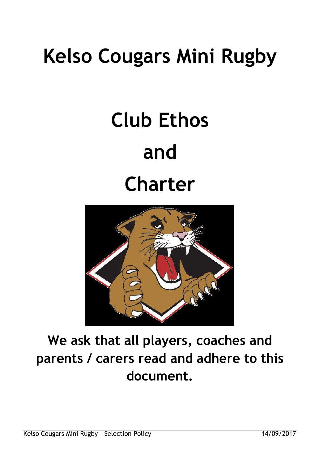## **Kelso Cougars Mini Rugby**

# **Club Ethos and Charter**



### **We ask that all players, coaches and parents / carers read and adhere to this document.**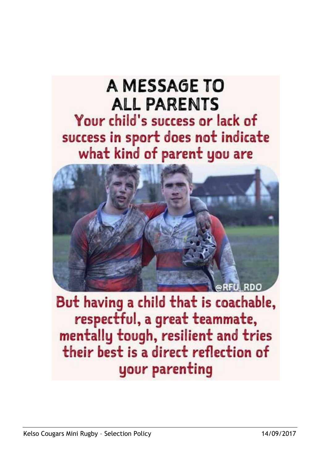## A MESSAGE TO **ALL PARENTS** Your child's success or lack of success in sport does not indicate what kind of parent you are



But having a child that is coachable, respectful, a great teammate, mentally tough, resilient and tries their best is a direct reflection of your parenting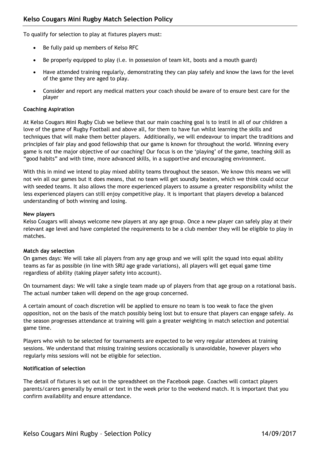To qualify for selection to play at fixtures players must:

- Be fully paid up members of Kelso RFC
- Be properly equipped to play (i.e. in possession of team kit, boots and a mouth guard)
- Have attended training regularly, demonstrating they can play safely and know the laws for the level of the game they are aged to play.
- Consider and report any medical matters your coach should be aware of to ensure best care for the player

#### **Coaching Aspiration**

At Kelso Cougars Mini Rugby Club we believe that our main coaching goal is to instil in all of our children a love of the game of Rugby Football and above all, for them to have fun whilst learning the skills and techniques that will make them better players. Additionally, we will endeavour to impart the traditions and principles of fair play and good fellowship that our game is known for throughout the world. Winning every game is not the major objective of our coaching! Our focus is on the "playing" of the game, teaching skill as "good habits" and with time, more advanced skills, in a supportive and encouraging environment.

With this in mind we intend to play mixed ability teams throughout the season. We know this means we will not win all our games but it does means, that no team will get soundly beaten, which we think could occur with seeded teams. It also allows the more experienced players to assume a greater responsibility whilst the less experienced players can still enjoy competitive play. It is important that players develop a balanced understanding of both winning and losing.

#### **New players**

Kelso Cougars will always welcome new players at any age group. Once a new player can safely play at their relevant age level and have completed the requirements to be a club member they will be eligible to play in matches.

#### **Match day selection**

On games days: We will take all players from any age group and we will split the squad into equal ability teams as far as possible (in line with SRU age grade variations), all players will get equal game time regardless of ability (taking player safety into account).

On tournament days: We will take a single team made up of players from that age group on a rotational basis. The actual number taken will depend on the age group concerned.

A certain amount of coach discretion will be applied to ensure no team is too weak to face the given opposition, not on the basis of the match possibly being lost but to ensure that players can engage safely. As the season progresses attendance at training will gain a greater weighting in match selection and potential game time.

Players who wish to be selected for tournaments are expected to be very regular attendees at training sessions. We understand that missing training sessions occasionally is unavoidable, however players who regularly miss sessions will not be eligible for selection.

#### **Notification of selection**

The detail of fixtures is set out in the spreadsheet on the Facebook page. Coaches will contact players parents/carers generally by email or text in the week prior to the weekend match. It is important that you confirm availability and ensure attendance.